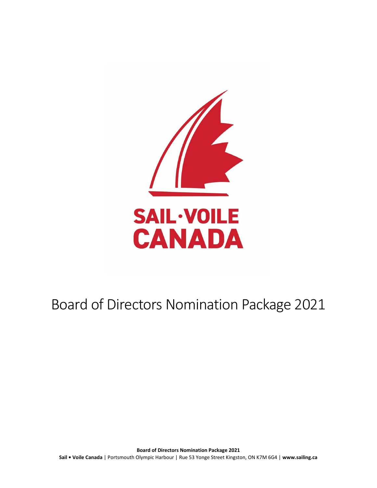

# Board of Directors Nomination Package 2021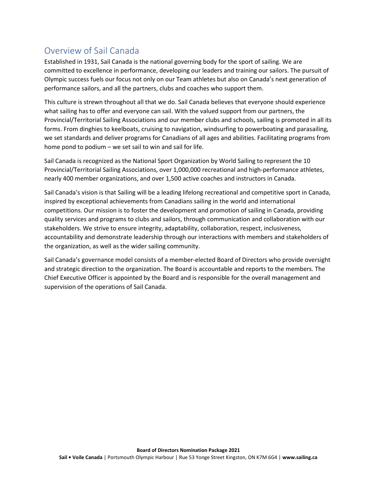### Overview of Sail Canada

Established in 1931, Sail Canada is the national governing body for the sport of sailing. We are committed to excellence in performance, developing our leaders and training our sailors. The pursuit of Olympic success fuels our focus not only on our Team athletes but also on Canada's next generation of performance sailors, and all the partners, clubs and coaches who support them.

This culture is strewn throughout all that we do. Sail Canada believes that everyone should experience what sailing has to offer and everyone can sail. With the valued support from our partners, the Provincial/Territorial Sailing Associations and our member clubs and schools, sailing is promoted in all its forms. From dinghies to keelboats, cruising to navigation, windsurfing to powerboating and parasailing, we set standards and deliver programs for Canadians of all ages and abilities. Facilitating programs from home pond to podium – we set sail to win and sail for life.

Sail Canada is recognized as the National Sport Organization by World Sailing to represent the 10 Provincial/Territorial Sailing Associations, over 1,000,000 recreational and high-performance athletes, nearly 400 member organizations, and over 1,500 active coaches and instructors in Canada.

Sail Canada's vision is that Sailing will be a leading lifelong recreational and competitive sport in Canada, inspired by exceptional achievements from Canadians sailing in the world and international competitions. Our mission is to foster the development and promotion of sailing in Canada, providing quality services and programs to clubs and sailors, through communication and collaboration with our stakeholders. We strive to ensure integrity, adaptability, collaboration, respect, inclusiveness, accountability and demonstrate leadership through our interactions with members and stakeholders of the organization, as well as the wider sailing community.

Sail Canada's governance model consists of a member-elected Board of Directors who provide oversight and strategic direction to the organization. The Board is accountable and reports to the members. The Chief Executive Officer is appointed by the Board and is responsible for the overall management and supervision of the operations of Sail Canada.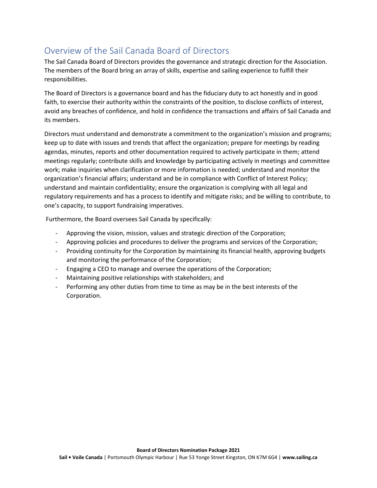## Overview of the Sail Canada Board of Directors

The Sail Canada Board of Directors provides the governance and strategic direction for the Association. The members of the Board bring an array of skills, expertise and sailing experience to fulfill their responsibilities.

The Board of Directors is a governance board and has the fiduciary duty to act honestly and in good faith, to exercise their authority within the constraints of the position, to disclose conflicts of interest, avoid any breaches of confidence, and hold in confidence the transactions and affairs of Sail Canada and its members.

Directors must understand and demonstrate a commitment to the organization's mission and programs; keep up to date with issues and trends that affect the organization; prepare for meetings by reading agendas, minutes, reports and other documentation required to actively participate in them; attend meetings regularly; contribute skills and knowledge by participating actively in meetings and committee work; make inquiries when clarification or more information is needed; understand and monitor the organization's financial affairs; understand and be in compliance with Conflict of Interest Policy; understand and maintain confidentiality; ensure the organization is complying with all legal and regulatory requirements and has a process to identify and mitigate risks; and be willing to contribute, to one's capacity, to support fundraising imperatives.

Furthermore, the Board oversees Sail Canada by specifically:

- Approving the vision, mission, values and strategic direction of the Corporation;
- Approving policies and procedures to deliver the programs and services of the Corporation;
- Providing continuity for the Corporation by maintaining its financial health, approving budgets and monitoring the performance of the Corporation;
- Engaging a CEO to manage and oversee the operations of the Corporation;
- Maintaining positive relationships with stakeholders; and
- Performing any other duties from time to time as may be in the best interests of the Corporation.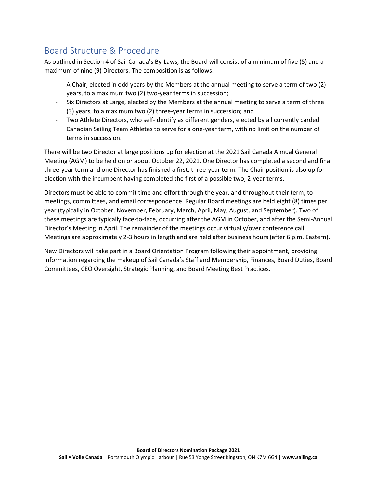### Board Structure & Procedure

As outlined in Section 4 of Sail Canada's By-Laws, the Board will consist of a minimum of five (5) and a maximum of nine (9) Directors. The composition is as follows:

- A Chair, elected in odd years by the Members at the annual meeting to serve a term of two (2) years, to a maximum two (2) two-year terms in succession;
- Six Directors at Large, elected by the Members at the annual meeting to serve a term of three (3) years, to a maximum two (2) three-year terms in succession; and
- Two Athlete Directors, who self-identify as different genders, elected by all currently carded Canadian Sailing Team Athletes to serve for a one-year term, with no limit on the number of terms in succession.

There will be two Director at large positions up for election at the 2021 Sail Canada Annual General Meeting (AGM) to be held on or about October 22, 2021. One Director has completed a second and final three-year term and one Director has finished a first, three-year term. The Chair position is also up for election with the incumbent having completed the first of a possible two, 2-year terms.

Directors must be able to commit time and effort through the year, and throughout their term, to meetings, committees, and email correspondence. Regular Board meetings are held eight (8) times per year (typically in October, November, February, March, April, May, August, and September). Two of these meetings are typically face-to-face, occurring after the AGM in October, and after the Semi-Annual Director's Meeting in April. The remainder of the meetings occur virtually/over conference call. Meetings are approximately 2-3 hours in length and are held after business hours (after 6 p.m. Eastern).

New Directors will take part in a Board Orientation Program following their appointment, providing information regarding the makeup of Sail Canada's Staff and Membership, Finances, Board Duties, Board Committees, CEO Oversight, Strategic Planning, and Board Meeting Best Practices.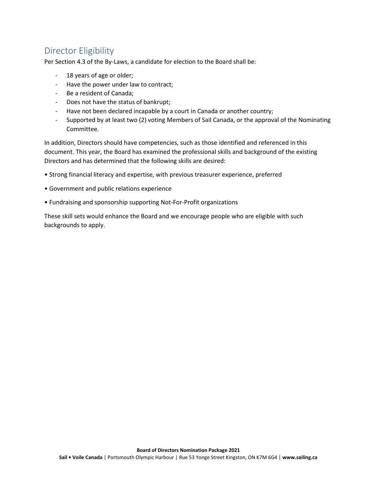### Director Eligibility

Per Section 4.3 of the By-Laws, a candidate for election to the Board shall be:

- 18 years of age or older;
- Have the power under law to contract;
- Be a resident of Canada;
- Does not have the status of bankrupt;
- Have not been declared incapable by a court in Canada or another country;
- Supported by at least two (2) voting Members of Sail Canada, or the approval of the Nominating Committee.

In addition, Directors should have competencies, such as those identified and referenced in this document. This year, the Board has examined the professional skills and background of the existing Directors and has determined that the following skills are desired:

- Strong financial literacy and expertise, with previous treasurer experience, preferred
- Government and public relations experience
- Fundraising and sponsorship supporting Not-For-Profit organizations

These skill sets would enhance the Board and we encourage people who are eligible with such backgrounds to apply.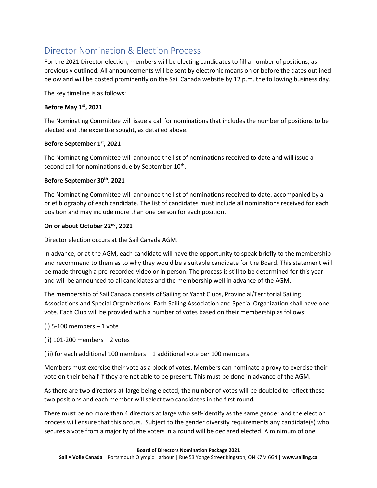### Director Nomination & Election Process

For the 2021 Director election, members will be electing candidates to fill a number of positions, as previously outlined. All announcements will be sent by electronic means on or before the dates outlined below and will be posted prominently on the Sail Canada website by 12 p.m. the following business day.

The key timeline is as follows:

#### **Before May 1st, 2021**

The Nominating Committee will issue a call for nominations that includes the number of positions to be elected and the expertise sought, as detailed above.

### **Before September 1st, 2021**

The Nominating Committee will announce the list of nominations received to date and will issue a second call for nominations due by September  $10^{\text{th}}$ .

### **Before September 30th, 2021**

The Nominating Committee will announce the list of nominations received to date, accompanied by a brief biography of each candidate. The list of candidates must include all nominations received for each position and may include more than one person for each position.

### **On or about October 22nd, 2021**

Director election occurs at the Sail Canada AGM.

In advance, or at the AGM, each candidate will have the opportunity to speak briefly to the membership and recommend to them as to why they would be a suitable candidate for the Board. This statement will be made through a pre-recorded video or in person. The process is still to be determined for this year and will be announced to all candidates and the membership well in advance of the AGM.

The membership of Sail Canada consists of Sailing or Yacht Clubs, Provincial/Territorial Sailing Associations and Special Organizations. Each Sailing Association and Special Organization shall have one vote. Each Club will be provided with a number of votes based on their membership as follows:

- (i) 5-100 members 1 vote
- (ii) 101-200 members 2 votes
- (iii) for each additional 100 members 1 additional vote per 100 members

Members must exercise their vote as a block of votes. Members can nominate a proxy to exercise their vote on their behalf if they are not able to be present. This must be done in advance of the AGM.

As there are two directors-at-large being elected, the number of votes will be doubled to reflect these two positions and each member will select two candidates in the first round.

There must be no more than 4 directors at large who self-identify as the same gender and the election process will ensure that this occurs. Subject to the gender diversity requirements any candidate(s) who secures a vote from a majority of the voters in a round will be declared elected. A minimum of one

#### **Board of Directors Nomination Package 2021**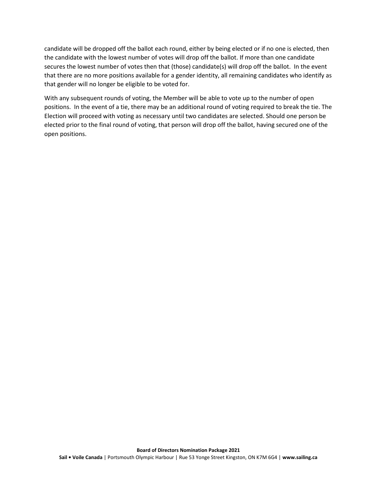candidate will be dropped off the ballot each round, either by being elected or if no one is elected, then the candidate with the lowest number of votes will drop off the ballot. If more than one candidate secures the lowest number of votes then that (those) candidate(s) will drop off the ballot. In the event that there are no more positions available for a gender identity, all remaining candidates who identify as that gender will no longer be eligible to be voted for.

With any subsequent rounds of voting, the Member will be able to vote up to the number of open positions. In the event of a tie, there may be an additional round of voting required to break the tie. The Election will proceed with voting as necessary until two candidates are selected. Should one person be elected prior to the final round of voting, that person will drop off the ballot, having secured one of the open positions.